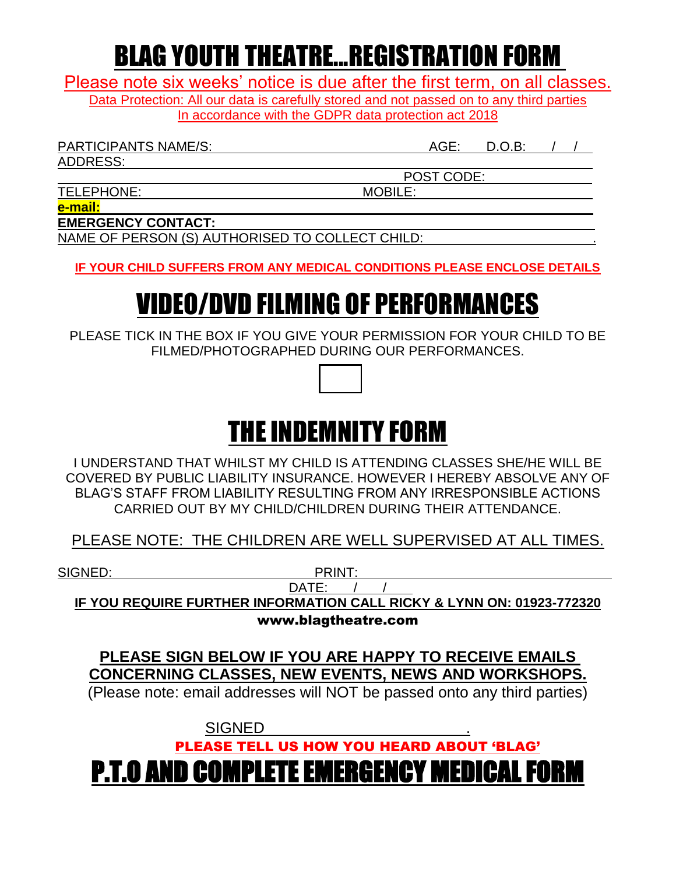## BLAG YOUTH THEATRE...REGISTRATION FORM

Please note six weeks' notice is due after the first term, on all classes. Data Protection: All our data is carefully stored and not passed on to any third parties

In accordance with the GDPR data protection act 2018

PARTICIPANTS NAME/S:  $\begin{array}{ccc} \bullet & \bullet & \bullet \\ \bullet & \bullet & \bullet \end{array}$  AGE: D.O.B: /

ADDRESS:

POST CODE:

TELEPHONE: MOBILE:

**e-mail:** 

**EMERGENCY CONTACT:** 

NAME OF PERSON (S) AUTHORISED TO COLLECT CHILD: .

**IF YOUR CHILD SUFFERS FROM ANY MEDICAL CONDITIONS PLEASE ENCLOSE DETAILS**

# VIDEO/DVD FILMING OF PERFORMANCES

PLEASE TICK IN THE BOX IF YOU GIVE YOUR PERMISSION FOR YOUR CHILD TO BE FILMED/PHOTOGRAPHED DURING OUR PERFORMANCES.

# THE INDEMNITY FORM

I UNDERSTAND THAT WHILST MY CHILD IS ATTENDING CLASSES SHE/HE WILL BE COVERED BY PUBLIC LIABILITY INSURANCE. HOWEVER I HEREBY ABSOLVE ANY OF BLAG'S STAFF FROM LIABILITY RESULTING FROM ANY IRRESPONSIBLE ACTIONS CARRIED OUT BY MY CHILD/CHILDREN DURING THEIR ATTENDANCE.

PLEASE NOTE: THE CHILDREN ARE WELL SUPERVISED AT ALL TIMES.

SIGNED: PRINT:

DATE: / / **IF YOU REQUIRE FURTHER INFORMATION CALL RICKY & LYNN ON: 01923-772320** www.blagtheatre.com

**PLEASE SIGN BELOW IF YOU ARE HAPPY TO RECEIVE EMAILS CONCERNING CLASSES, NEW EVENTS, NEWS AND WORKSHOPS.**

(Please note: email addresses will NOT be passed onto any third parties)

**SIGNED** PLEASE TELL US HOW YOU HEARD ABOUT 'BLAG'

P.T.O AND COMPLETE EMERGENCY MEDICAL FORM